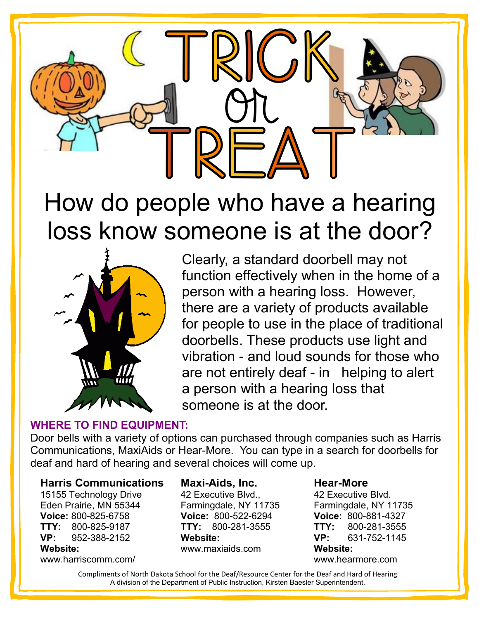

## How do people who have a hearing loss know someone is at the door?



Clearly, a standard doorbell may not function effectively when in the home of a person with a hearing loss. However, there are a variety of products available for people to use in the place of traditional doorbells. These products use light and vibration - and loud sounds for those who are not entirely deaf - in helping to alert a person with a hearing loss that someone is at the door.

### **WHERE TO FIND EQUIPMENT:**

Door bells with a variety of options can purchased through companies such as Harris Communications, MaxiAids or Hear-More. You can type in a search for doorbells for deaf and hard of hearing and several choices will come up.

### **Harris Communications**

15155 Technology Drive Eden Prairie, MN 55344 **Voice:** 800-825-6758 **TTY:** 800-825-9187 **VP:** 952-388-2152 **Website:**  www.harriscomm.com/

### **Maxi-Aids, Inc.**

42 Executive Blvd., Farmingdale, NY 11735 **Voice:** 800-522-6294 **TTY:** 800-281-3555 **Website:** www.maxiaids.com

### **Hear-More**

42 Executive Blvd. Farmingdale, NY 11735 **Voice:** 800-881-4327 **TTY:** 800-281-3555 **VP:** 631-752-1145 **Website:** www.hearmore.com

Compliments of North Dakota School for the Deaf/Resource Center for the Deaf and Hard of Hearing A division of the Department of Public Instruction, Kirsten Baesler Superintendent.